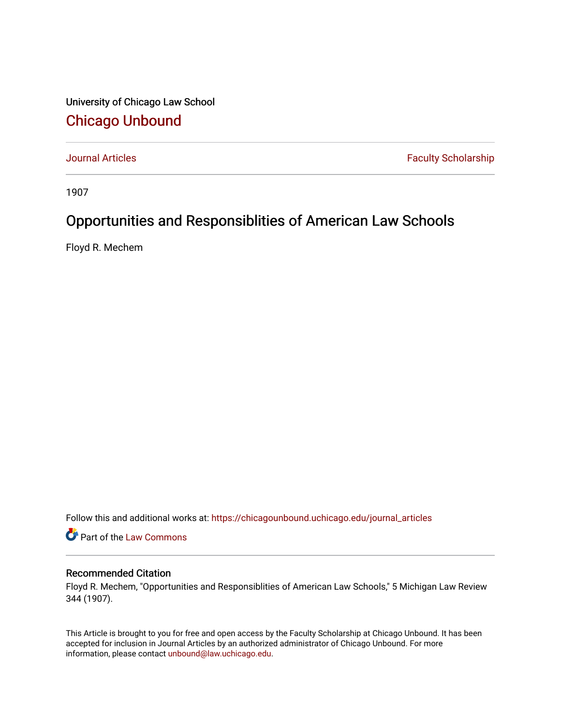University of Chicago Law School [Chicago Unbound](https://chicagounbound.uchicago.edu/)

[Journal Articles](https://chicagounbound.uchicago.edu/journal_articles) **Faculty Scholarship Faculty Scholarship** 

1907

## Opportunities and Responsiblities of American Law Schools

Floyd R. Mechem

Follow this and additional works at: [https://chicagounbound.uchicago.edu/journal\\_articles](https://chicagounbound.uchicago.edu/journal_articles?utm_source=chicagounbound.uchicago.edu%2Fjournal_articles%2F9278&utm_medium=PDF&utm_campaign=PDFCoverPages) 

Part of the [Law Commons](http://network.bepress.com/hgg/discipline/578?utm_source=chicagounbound.uchicago.edu%2Fjournal_articles%2F9278&utm_medium=PDF&utm_campaign=PDFCoverPages)

## Recommended Citation

Floyd R. Mechem, "Opportunities and Responsiblities of American Law Schools," 5 Michigan Law Review 344 (1907).

This Article is brought to you for free and open access by the Faculty Scholarship at Chicago Unbound. It has been accepted for inclusion in Journal Articles by an authorized administrator of Chicago Unbound. For more information, please contact [unbound@law.uchicago.edu](mailto:unbound@law.uchicago.edu).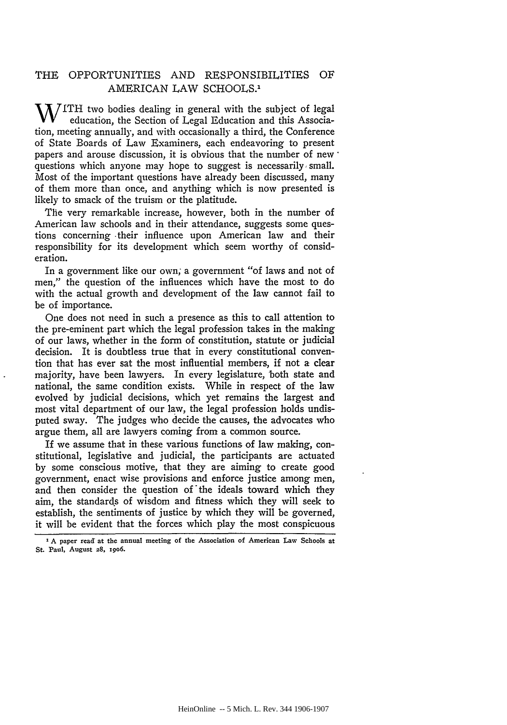## THE OPPORTUNITIES AND RESPONSIBILITIES OF AMERICAN LAW SCHOOLS.-

**W** ITH two bodies dealing in general with the subject of legal education, the Section of Legal Education and this Association, meeting annually, and with occasionally a third, the Conference of State Boards of Law Examiners, each endeavoring to present papers and arouse discussion, it is obvious that the number of new questions which anyone may hope to suggest is necessarily, small. Most of the important questions have already been discussed, many of them more than once, and anything which is now presented is likely to smack of the truism or the platitude.

The very remarkable increase, however, both in the number of -American law schools and in their attendance, suggests some questions concerning -their influence upon American law and their responsibility for its development which seem worthy of consideration.

In a government like our own; a government "of laws and not of men," the question of the influences which have the most to do with the actual growth and development of the law cannot fail to be of importance.

One does not need in such a presence as this to call attention to the pre-eminent part which the legal profession takes in the making of our laws, whether in the form of constitution, statute or judicial decision. It is doubtless true that in every constitutional convention that has ever sat the most influential members, if not a clear majority, have been lawyers. In every legislature, both state and national, the same condition exists. While in respect of the law evolved by judicial decisions, which yet remains the largest and most vital department of our law, the legal profession holds undisputed sway. The judges who decide the causes, the advocates who argue them, all are lawyers coming from a common source.

If we assume that in these various functions of law making, constitutional, legislative and judicial, the participants are actuated by some conscious motive, that they are aiming to create good government, enact wise provisions and enforce justice among men, and then consider the question of'the ideals toward which they aim, the standards of wisdom and fitness which they will seek to establish, the sentiments of justice by which they will be governed, it will be evident that the forces which play the most conspicuous

**I A** paper read **at the** annual meeting **of the Association of** American **Law Schools at St. Paul, August 28, z9o6.**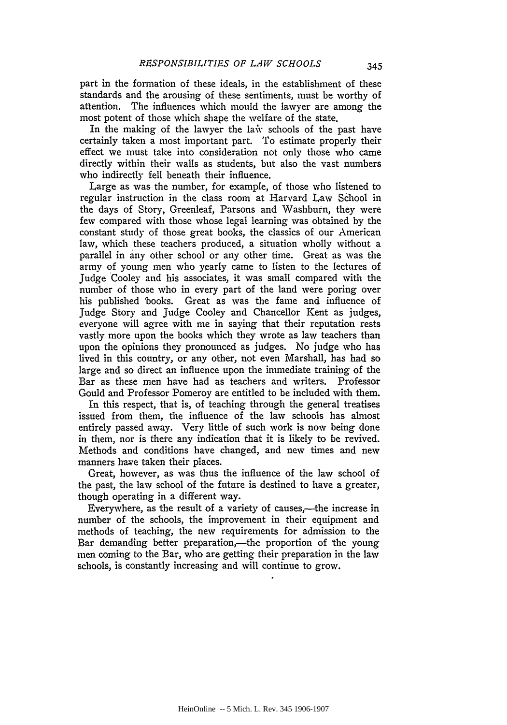part in the formation of these ideals, in the establishment of these standards and the arousing of these sentiments, must be worthy of attention. The influences which mould the lawyer are among the most potent of those which shape the welfare of the state.

In the making of the lawyer the law schools of the past have certainly taken a most important part. To estimate properly their effect we must take into consideration not only those who came directly within their walls as students, but also the vast numbers who indirectly fell beneath their influence.

Large as was the number, for example, of those who listened to regular instruction in the class room at Harvard Law School in the days of Story, Greenleaf, Parsons and Washburn, they were few compared with those whose legal learning was obtained by the constant study of those great books, the classics of our American law, which these teachers produced, a situation wholly without a parallel in any other school or any other time. Great as was the army of young men who yearly came to listen to the lectures of Judge Cooley and his associates, it was small compared with the number of those who in every part of the land were poring over his published 'books. Great as was the fame and influence of Judge Story and Judge Cooley and Chancellor Kent as judges, everyone will agree with me in saying that their reputation rests vastly more upon the books which they wrote as law teachers than upon the opinions they pronounced as judges. No judge who has lived in this country, or any other, not even Marshall, has had so large and so direct an influence upon the immediate training of the Bar as these men have had as teachers and writers. Professor Gould and Professor Pomeroy are entitled to be included with them.

In this respect, that is, of teaching through the general treatises issued from them, the influence of the law schools has almost entirely passed away. Very little of such work is now being done in them, nor is there any indication that it is likely to be revived. Methods and conditions have changed, and new times and new manners have taken their places.

Great, however, as was thus the influence of the law school of the past, the law school of the future is destined to have a greater, though operating in a different way.

Everywhere, as the result of a variety of causes,—the increase in number of the schools, the improvement in their equipment and methods of teaching, the new requirements for admission to the Bar demanding better preparation,—the proportion of the young men coming to the Bar, who are getting their preparation in the law schools, is constantly increasing and will continue to grow.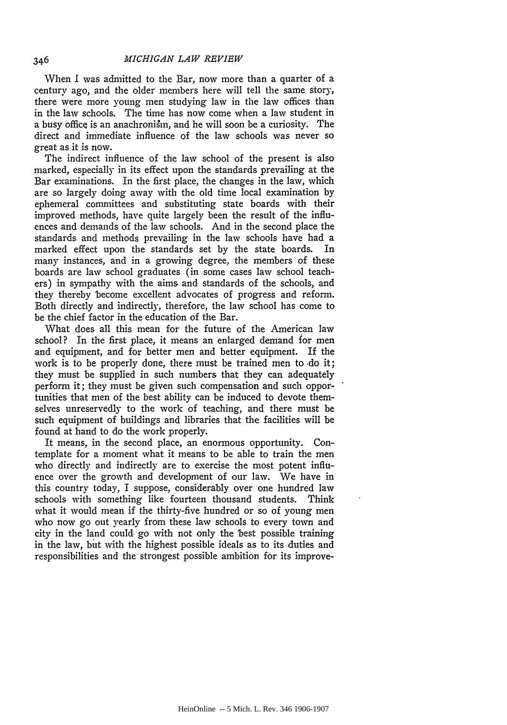When I was admitted to the Bar, now more than a quarter of a century ago, and the older members here will tell the same story, there were more young men studying law in the law offices than in the law schools. The time has now come when a law student in a busy office is an anachronism, and he will soon be a curiosity. The direct and immediate influence of the law schools was never so great as it is now.

The indirect influence of the law school of the present is also marked, especially in its effect upon the standards prevailing at the Bar examinations. In the first place, the changes in the law, which are so largely doing away with the old time local examination by ephemeral committees and substituting state boards with their improved methods, have quite largely been the result of the influences and demands of the law schools. And in the second place the standards and methods prevailing in the law schools have had a marked effect upon the standards set by the state boards. In many instances, and in a growing degree, the members of these boards are law school graduates (in some cases law school teachers) in sympathy with the aims and. standards of the schools, and they thereby become excellent advocates of progress and reform. Both directly and indirectly, therefore, the law school has come to be the chief factor in the education of the Bar.

What does all this mean for the future of the American law school? In the first place, it means an enlarged demand for men and equipment, and for better men and better equipment. If the work is to be properly done, there must be trained men to do it; they must be supplied in such numbers that they can adequately perform it; they must be given such compensation and such opportunities that men of the best ability can be induced to devote themselves unreservedly to the work of teaching, and there must be such equipment of buildings and libraries that the facilities will be found at hand to do the work properly.

It means, in the second place, an enormous opportunity. Contemplate for a moment what it means to be able to train the men who directly and indirectly are to exercise the most potent influence over the growth and development of our law. We have in this country today, I suppose, considerably over one hundred law schools with something like fourteen thousand students. Think what it would mean if the thirty-five hundred or so of young men who now go out yearly from these law schools to every town and city in the land could go with not only the best possible training in the law, but with the highest possible ideals as to its duties and responsibilities and the strongest possible ambition for its improve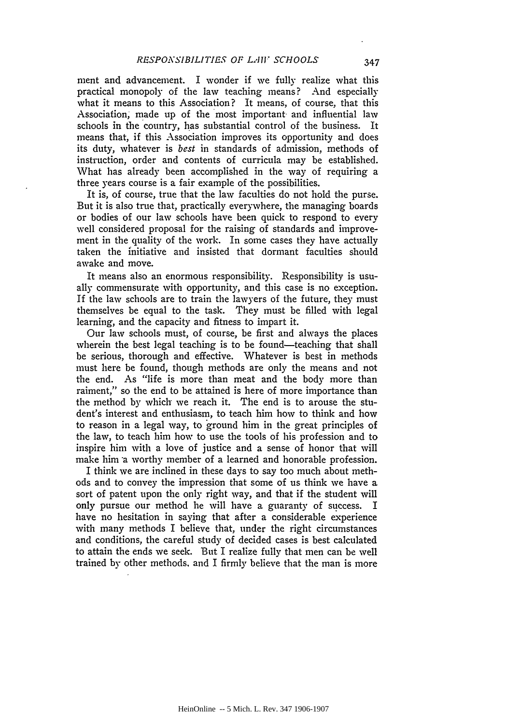ment and advancement. I wonder if we fully realize what this practical monopoly of the law teaching means? And especially what it means to this Association? It means, of course, that this Association, made up of the most important and influential law schools in the country, has substantial control of the business. It means that, if this Association improves its opportunity and does its duty, whatever is best in standards of admission, methods of instruction, order and contents of curricula may be established. What has already been accomplished in the way of requiring a three years course is a fair example of the possibilities.

It is, of course, true that the law faculties do not hold the purse. But it is also true that, practically everywhere, the managing boards or bodies of our law schools have been quick to respond to every well considered proposal for the raising of standards and improvement in the quality of the work. In some cases they have actually taken the initiative and insisted that dormant faculties should awake and move.

It means also an enormous responsibility. Responsibility is usually commensurate with opportunity, and this case is no exception. If the law schools are to train the lawyers of the future, they must themselves be equal to the task. They must be filled with legal learning, and the capacity and fitness to impart it.

Our law schools must, of course, be first and always the places wherein the best legal teaching is to be found—teaching that shall be serious, thorough and effective. Whatever is best in methods must here be found, though methods are only the means and not the end. As "life is more than meat and the body more than raiment," so the end to be attained is here of more importance than the method by which we reach it. The end is to arouse the student's interest and enthusiasm, to teach him how to think and how to reason in a legal way, to ground him in the great principles of the law, to teach him how to use the tools of his profession and to inspire him with a love of justice and a sense of honor that will make him a worthy member of a learned and honorable profession.

I think we are inclined in these days to say too much about methods and to convey the impression that some of us think we have a sort of patent upon the only right way, and that if the student will only pursue our method he will have a guaranty of success. I have no hesitation in saying that after a considerable experience with many methods I believe that, under the right circumstances and conditions, the careful study of decided cases is best calculated to attain the ends we seek. But I realize fully that men can be well trained by other methods, and I firmly believe that the man is more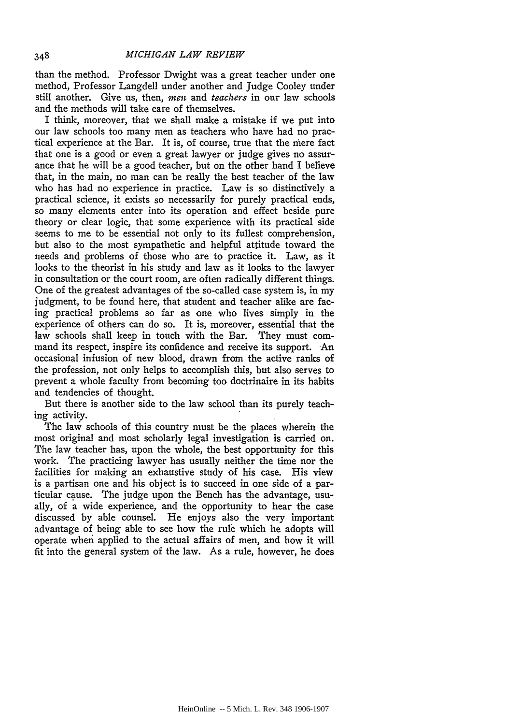than the method. Professor Dwight was a great teacher under one method, Professor Langdell under another and Judge Cooley under still another. Give us, then, men and teachers in our law schools and the methods will take care of themselves.

I think, moreover, that we shall make a mistake if we put into our law schools too many men as teachers who have had no practical experience at the Bar. It is, of course, true that the mere fact that one is a good or even a great lawyer or judge gives no assurance that he will be a good teacher, but on the other hand I believe that, in the main, no man can be really the best teacher of the law who has had no experience in practice. Law is so distinctively a practical science, it exists so necessarily for purely practical ends, so many elements enter into its operation and effect beside pure theory or clear logic, that some experience with its practical side seems to me to be essential not only to its fullest comprehension, but also to the most sympathetic and helpful attitude toward the needs and problems of those who are to practice it. Law, as it looks to the theorist in his study and law as it looks to the lawyer in consultation or the court room, are often radically different things. One of the greatest advantages of the so-called case system is, in my judgment, to be found here, that student and teacher alike are facing practical problems so far as one who lives simply in the experience of others can do so. It is, moreover, essential that the law schools shall keep in touch with the Bar. They must command its respect, inspire its confidence and receive its support. An occasional infusion of new blood, drawn from the active ranks of the profession, not only helps to accomplish this, but also serves to prevent a whole faculty from becoming too doctrinaire in its habits and tendencies of thought.

But there is another side to the law school than its purely teaching activity.

The law schools of this country must be the places wherein the most original and most scholarly legal investigation is carried on. The law teacher has, upon the whole, the best opportunity for this work. The practicing lawyer has usually neither the time nor the facilities for making an exhaustive study of his case. His view is a partisan one and his object is to succeed in one side of a particular cause. The judge upon the Bench has the advantage, usually, of a wide experience, and the opportunity to hear the case discussed by able counsel. He enjoys also the very important advantage of being able to see how the rule which he adopts will operate when applied to the actual affairs of men, and how it will fit into the general system of the law. As a rule, however, he does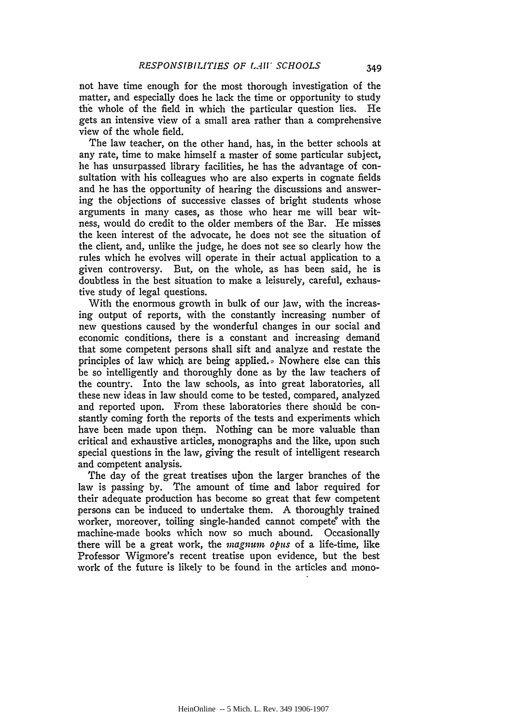not have time enough for the most thorough investigation of the matter, and especially does he lack the time or opportunity to study the whole of the field in which the particular question lies. He gets an intensive view of a small area rather than a comprehensive view of the whole field.

The law teacher, on the other hand, has, in the better schools at any rate, time to make himself a master of some particular subject, he has unsurpassed library facilities, he has the advantage of consultation with his colleagues who are also experts in cognate fields and he has the opportunity of hearing the discussions and answering the objections of successive classes of bright students whose arguments in many cases, as those who hear me will bear witness, would do credit to the older members of the Bar. He misses the keen interest of the advocate, he does not see the situation of the client, and, unlike the judge, he does not see so clearly how the rules which he evolves will operate in their actual application to a given controversy. But, on the whole, as has been said, he is doubtless in the best situation to make a leisurely, careful, exhaustive study of legal questions.

With the enormous growth in bulk of our law, with the increasing output of reports, with the constantly increasing number of new questions caused by the wonderful changes in our social and economic conditions, there is a constant and increasing demand that some competent persons shall sift and analyze and restate the principles of law which are being applied. $\circ$  Nowhere else can this be so intelligently and thoroughly done as by the law teachers of the country. Into the law schools, as into great laboratories, all these new ideas in law should come to be tested, compared, analyzed and reported upon. From these laboratories there should be constantly coming forth the reports of the tests and experiments which have been made upon them. Nothing can be more valuable than critical and exhaustive articles, monographs and the like, upon such special questions in the law, giving the result of intelligent research and competent analysis.

The day of the great treatises upon the larger branches of the law is passing by. The amount of time and labor required for their adequate production has become so great that few competent persons can be induced to undertake them. A thoroughly trained worker, moreover, toiling single-handed cannot compete with the machine-made books which now so much abound. Occasionally there will be a great work, the *magnum opus* of a life-time, like Professor Wigmore's recent treatise upon evidence, but the best work of the future is likely to be found in the articles and mono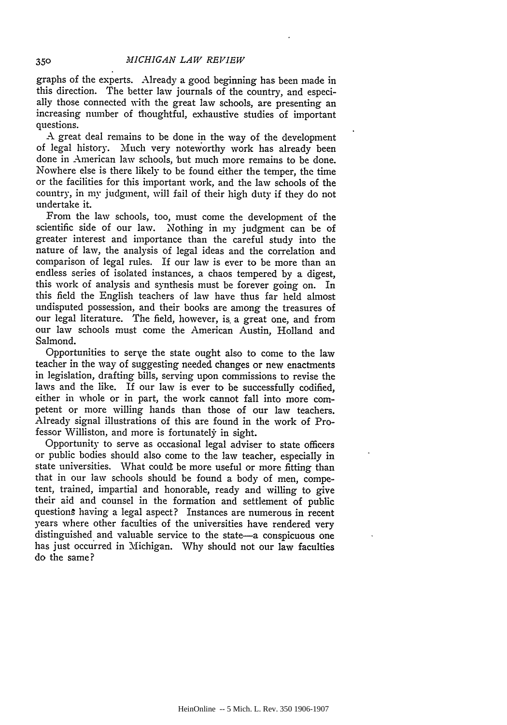graphs of the experts. Already a good beginning has been made in this direction. The better law journals of the country, and especially those connected with the great law schools, are presenting an increasing number of thoughtful, exhaustive studies of important questions.

**A** great deal remains to be done in the way of the development of legal history. Much very noteworthy work has already been done in American law schools, but much more remains to be done. Nowhere else is there likely to be found either the temper, the time or the facilities for this important work, and the law schools of the country, in my judgment, will fail of their high duty if they do not undertake it.

From the law schools, too, must come the development of the scientific side of our law. Nothing in my judgment can be of greater interest and importance than the careful study into the nature of law, the analysis of legal ideas and the correlation and comparison of legal rules. If our law is ever to be more than an endless series of isolated instances, a chaos tempered by a digest, this work of analysis and synthesis must be forever going on. In this field the English teachers of law have thus far held almost undisputed possession, and their books are among the treasures of our legal literature. The field, however, is. a great one, and from our law schools must come the American Austin, Holland and Salmond.

Opportunities to serye the state ought also to come to the law teacher in the way of suggesting needed changes or new enactments in legislation, drafting bills, serving upon commissions to revise the laws and the like. If our law is ever to be successfully codified, either in whole or in part, the work cannot fall into more competent or more willing hands than those of our law teachers. Already signal illustrations of this are found in the work of Professor Williston, and more is fortunately in sight.

Opportunity to serve as occasional legal adviser to state officers or public bodies should also come to the law teacher, especially in state universities. What could; be more useful or more fitting than that in our law schools should be found a body of men, competent, trained, impartial and honorable, ready and willing to give their aid and counsel in the formation and settlement of public questiong having a legal aspect? Instances are numerous in recent years where other faculties of the universities have rendered very distinguished and valuable service to the state-a conspicuous one has just occurred in Michigan. Why should not our law faculties do the same?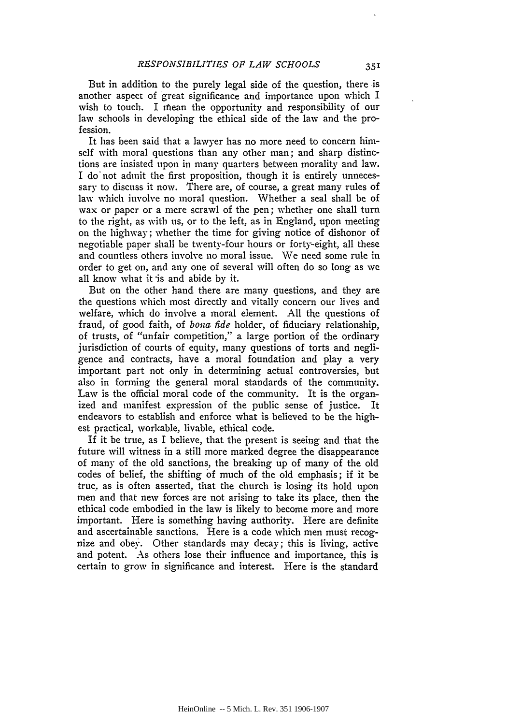But in addition to the purely legal side of the question, there is another aspect of great significance and importance upon which I wish to touch. I mean the opportunity and responsibility of our law schools in developing the ethical side of the law and the profession.

It has been said that a lawyer has no more need to concern himself with moral questions than any other man; and sharp distinctions are insisted upon in many quarters between morality and law. I do not admit the first proposition, though it is entirely unnecessary to discuss it now. There are, of course, a great many rules of law which involve no moral question. Whether a seal shall be of wax or paper or a mere scrawl of the pen; whether one shall turn to the right, as with us, or to the left, as in England, upon meeting on the highway; whether the time for giving notice of dishonor of negotiable paper shall **be** twenty-four hours or forty-eight, all these and countless others involve no moral issue. We need some rule in order to get on, and any one of several will often do so long as we all know what it is and abide by it.

But on the other hand there are many questions, and they are the questions which most directly and vitally concern our lives and welfare, which do involve a moral element. All the questions of fraud, of good faith, of *bona fide* holder, of fiduciary relationship, of trusts, of "unfair competition," a large portion of the ordinary jurisdiction of courts of equity, many questions of torts and negligence and contracts, have a moral foundation and play a very important part not only in determining actual controversies, but also in forming the general moral standards of the community. Law is the official moral code of the community. It is the organized and manifest expression of the public sense of justice. It endeavors to establish and enforce what is believed to be the highest practical, workable, livable, ethical code.

If it be true, as I believe, that the present is seeing and that the future will witness in a still more marked degree the disappearance of many of the old sanctions, the breaking up of many of the old codes of belief, the shifting of much of the old emphasis; if it be true, as is often asserted, that the church is losing its hold upon men and that new forces are not arising to take its place, then the ethical code embodied in the law is likely to become more and more important. Here is something having authority. Here are definite and ascertainable sanctions. Here is a code which men must recognize and obey. Other standards may decay; this is living, active and potent. As others lose their influence and importance, this is certain to grow in significance and interest. Here is the standard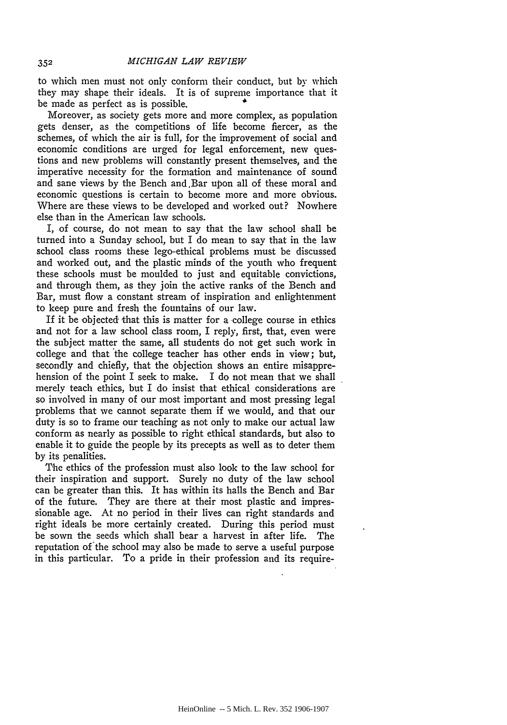to which men must not only conform their conduct, but by which they may shape their ideals. It is of supreme importance that it be made as perfect as is possible.

Moreover, as society gets more and more complex, as population gets denser, as the competitions of life become fiercer, as the schemes, of which the air is full, for the improvement of social and economic conditions are urged for legal enforcement, new questions and new problems will constantly present themselves, and the imperative necessity for the formation and maintenance of sound and sane views **by** the Bench and .Bar upon all of these moral and economic questions is certain to become more and more obvious. Where are these views to be developed and worked out? Nowhere else than in the American law schools.

I, of course, do not mean to say that the law school shall be turned into a Sunday school, but I do mean to say that in the law school class rooms these lego-ethical problems must be discussed and worked out, and the plastic minds of the youth who frequent these schools must be moulded to just and equitable convictions, and through them, as they join the active ranks of the Bench and Bar, must flow a constant stream of inspiration and enlightenment to keep pure and fresh the fountains of our law.

If it be objected that this is matter for a college course in ethics and not for a law school class room, I reply, first, that, even were the subject matter the same, all students do not get such work in college and that the college teacher has other ends in view; but, secondly and chiefly, that the objection shows an entire misapprehension of the point I seek to make. I do not mean that we shall merely teach ethics, but I do insist that ethical considerations are so involved in many of our most important and most pressing legal problems that we cannot separate them if we would, and that our duty is so to frame our teaching as not only to make our actual law conform as nearly as possible to right ethical standards, but also to enable it to guide the people **by** its precepts as well as to deter them **by** its penalities.

The ethics of the profession must also look to the law school for their inspiration and support. Surely no duty of the law school can be greater than this. It has within its halls the Bench and Bar of the future. They are there at their most plastic and impressionable age. At no period in their lives can right standards and right ideals be more certainly created. During this period must be sown the seeds which shall bear a harvest in after life. The reputation of'the school may also be made to serve a useful purpose in this particular. To a pride in their profession and its require